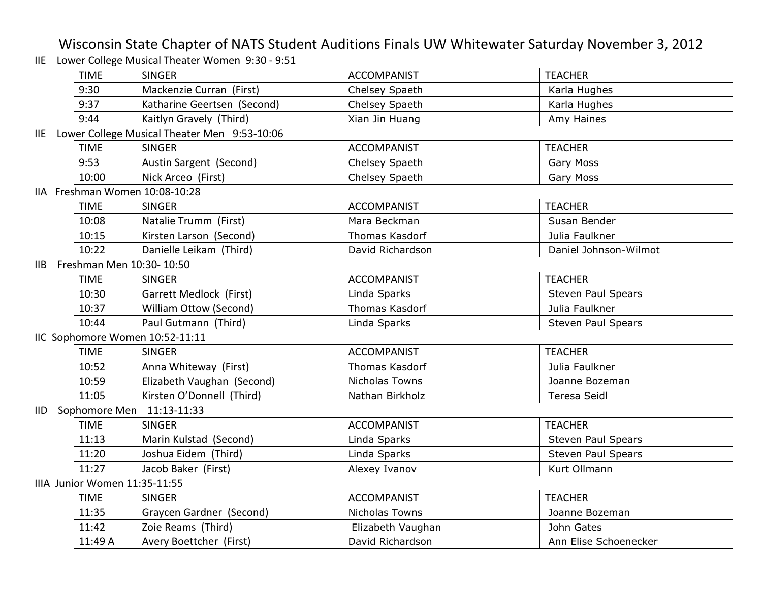## Wisconsin State Chapter of NATS Student Auditions Finals UW Whitewater Saturday November 3, 2012

IIE Lower College Musical Theater Women 9:30 - 9:51

|       | <b>TIME</b>                   | <b>SINGER</b>                                | <b>ACCOMPANIST</b>    | <b>TEACHER</b>            |  |
|-------|-------------------------------|----------------------------------------------|-----------------------|---------------------------|--|
|       | 9:30                          | Mackenzie Curran (First)                     | Chelsey Spaeth        | Karla Hughes              |  |
|       | 9:37                          | Katharine Geertsen (Second)                  | Chelsey Spaeth        | Karla Hughes              |  |
|       | 9:44                          | Kaitlyn Gravely (Third)                      | Xian Jin Huang        | Amy Haines                |  |
| IIE - |                               | Lower College Musical Theater Men 9:53-10:06 |                       |                           |  |
|       | <b>TIME</b>                   | <b>SINGER</b>                                | <b>ACCOMPANIST</b>    | <b>TEACHER</b>            |  |
|       | 9:53                          | Austin Sargent (Second)                      | Chelsey Spaeth        | Gary Moss                 |  |
|       | 10:00                         | Nick Arceo (First)                           | Chelsey Spaeth        | Gary Moss                 |  |
|       |                               | IIA Freshman Women 10:08-10:28               |                       |                           |  |
|       | <b>TIME</b>                   | <b>SINGER</b>                                | <b>ACCOMPANIST</b>    | <b>TEACHER</b>            |  |
|       | 10:08                         | Natalie Trumm (First)                        | Mara Beckman          | Susan Bender              |  |
|       | 10:15                         | Kirsten Larson (Second)                      | Thomas Kasdorf        | Julia Faulkner            |  |
|       | 10:22                         | Danielle Leikam (Third)                      | David Richardson      | Daniel Johnson-Wilmot     |  |
| IIB.  |                               | Freshman Men 10:30-10:50                     |                       |                           |  |
|       | <b>TIME</b>                   | <b>SINGER</b>                                | <b>ACCOMPANIST</b>    | <b>TEACHER</b>            |  |
|       | 10:30                         | Garrett Medlock (First)                      | Linda Sparks          | <b>Steven Paul Spears</b> |  |
|       | 10:37                         | William Ottow (Second)                       | Thomas Kasdorf        | Julia Faulkner            |  |
|       | 10:44                         | Paul Gutmann (Third)                         | Linda Sparks          | <b>Steven Paul Spears</b> |  |
|       |                               | IIC Sophomore Women 10:52-11:11              |                       |                           |  |
|       | <b>TIME</b>                   | <b>SINGER</b>                                | <b>ACCOMPANIST</b>    | <b>TEACHER</b>            |  |
|       | 10:52                         | Anna Whiteway (First)                        | <b>Thomas Kasdorf</b> | Julia Faulkner            |  |
|       | 10:59                         | Elizabeth Vaughan (Second)                   | Nicholas Towns        | Joanne Bozeman            |  |
|       | 11:05                         | Kirsten O'Donnell (Third)                    | Nathan Birkholz       | <b>Teresa Seidl</b>       |  |
| IID.  |                               | Sophomore Men 11:13-11:33                    |                       |                           |  |
|       | <b>TIME</b>                   | <b>SINGER</b>                                | <b>ACCOMPANIST</b>    | <b>TEACHER</b>            |  |
|       | 11:13                         | Marin Kulstad (Second)                       | Linda Sparks          | <b>Steven Paul Spears</b> |  |
|       | 11:20                         | Joshua Eidem (Third)                         | Linda Sparks          | <b>Steven Paul Spears</b> |  |
|       | 11:27                         | Jacob Baker (First)                          | Alexey Ivanov         | Kurt Ollmann              |  |
|       | IIIA Junior Women 11:35-11:55 |                                              |                       |                           |  |
|       | <b>TIME</b>                   | <b>SINGER</b>                                | <b>ACCOMPANIST</b>    | <b>TEACHER</b>            |  |
|       | 11:35                         | Graycen Gardner (Second)                     | Nicholas Towns        | Joanne Bozeman            |  |
|       | 11:42                         | Zoie Reams (Third)                           | Elizabeth Vaughan     | John Gates                |  |
|       | 11:49 A                       | Avery Boettcher (First)                      | David Richardson      | Ann Elise Schoenecker     |  |
|       |                               |                                              |                       |                           |  |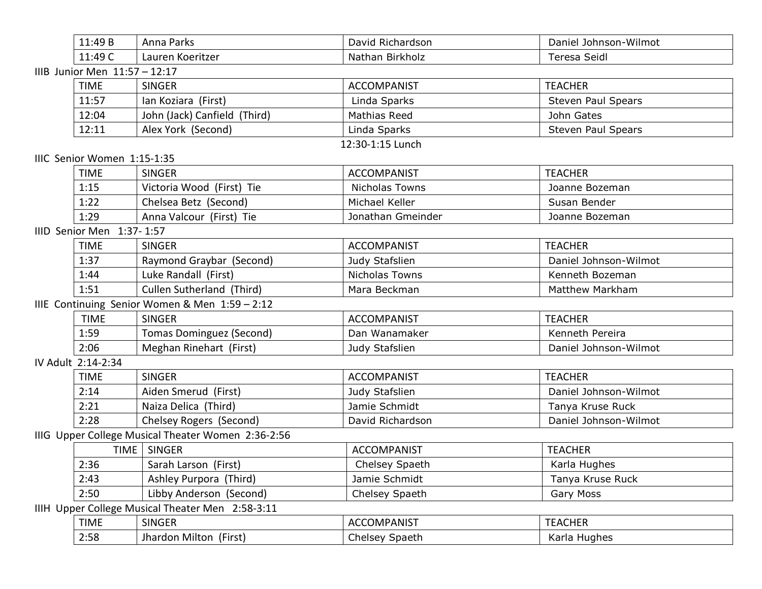|                               | 11:49 B                     | Anna Parks                                         | David Richardson      | Daniel Johnson-Wilmot     |  |  |  |
|-------------------------------|-----------------------------|----------------------------------------------------|-----------------------|---------------------------|--|--|--|
|                               | 11:49 C                     | Lauren Koeritzer                                   | Nathan Birkholz       | <b>Teresa Seidl</b>       |  |  |  |
| IIIB Junior Men 11:57 - 12:17 |                             |                                                    |                       |                           |  |  |  |
|                               | <b>TIME</b>                 | <b>SINGER</b>                                      | <b>ACCOMPANIST</b>    | <b>TEACHER</b>            |  |  |  |
|                               | 11:57                       | Ian Koziara (First)                                | Linda Sparks          | <b>Steven Paul Spears</b> |  |  |  |
|                               | 12:04                       | John (Jack) Canfield (Third)                       | <b>Mathias Reed</b>   | John Gates                |  |  |  |
|                               | 12:11                       | Alex York (Second)                                 | Linda Sparks          | <b>Steven Paul Spears</b> |  |  |  |
|                               |                             |                                                    | 12:30-1:15 Lunch      |                           |  |  |  |
|                               | IIIC Senior Women 1:15-1:35 |                                                    |                       |                           |  |  |  |
|                               | <b>TIME</b>                 | <b>SINGER</b>                                      | <b>ACCOMPANIST</b>    | <b>TEACHER</b>            |  |  |  |
|                               | 1:15                        | Victoria Wood (First) Tie                          | <b>Nicholas Towns</b> | Joanne Bozeman            |  |  |  |
|                               | 1:22                        | Chelsea Betz (Second)                              | Michael Keller        | Susan Bender              |  |  |  |
|                               | 1:29                        | Anna Valcour (First) Tie                           | Jonathan Gmeinder     | Joanne Bozeman            |  |  |  |
|                               | IIID Senior Men 1:37-1:57   |                                                    |                       |                           |  |  |  |
|                               | <b>TIME</b>                 | <b>SINGER</b>                                      | <b>ACCOMPANIST</b>    | <b>TEACHER</b>            |  |  |  |
|                               | 1:37                        | Raymond Graybar (Second)                           | Judy Stafslien        | Daniel Johnson-Wilmot     |  |  |  |
|                               | 1:44                        | Luke Randall (First)                               | Nicholas Towns        | Kenneth Bozeman           |  |  |  |
|                               | 1:51                        | Cullen Sutherland (Third)                          | Mara Beckman          | Matthew Markham           |  |  |  |
|                               |                             | IIIE Continuing Senior Women & Men 1:59 - 2:12     |                       |                           |  |  |  |
|                               | <b>TIME</b>                 | <b>SINGER</b>                                      | <b>ACCOMPANIST</b>    | <b>TEACHER</b>            |  |  |  |
|                               | 1:59                        | <b>Tomas Dominguez (Second)</b>                    | Dan Wanamaker         | Kenneth Pereira           |  |  |  |
|                               | 2:06                        | Meghan Rinehart (First)                            | Judy Stafslien        | Daniel Johnson-Wilmot     |  |  |  |
|                               | IV Adult 2:14-2:34          |                                                    |                       |                           |  |  |  |
|                               | <b>TIME</b>                 | <b>SINGER</b>                                      | <b>ACCOMPANIST</b>    | <b>TEACHER</b>            |  |  |  |
|                               | 2:14                        | Aiden Smerud (First)                               | Judy Stafslien        | Daniel Johnson-Wilmot     |  |  |  |
|                               | 2:21                        | Naiza Delica (Third)                               | Jamie Schmidt         | Tanya Kruse Ruck          |  |  |  |
|                               | 2:28                        | Chelsey Rogers (Second)                            | David Richardson      | Daniel Johnson-Wilmot     |  |  |  |
|                               |                             | IIIG Upper College Musical Theater Women 2:36-2:56 |                       |                           |  |  |  |
|                               |                             | TIME   SINGER                                      | <b>ACCOMPANIST</b>    | <b>TEACHER</b>            |  |  |  |
|                               | 2:36                        | Sarah Larson (First)                               | Chelsey Spaeth        | Karla Hughes              |  |  |  |
|                               | 2:43                        | Ashley Purpora (Third)                             | Jamie Schmidt         | Tanya Kruse Ruck          |  |  |  |
|                               | 2:50                        | Libby Anderson (Second)                            | Chelsey Spaeth        | Gary Moss                 |  |  |  |
|                               |                             | IIIH Upper College Musical Theater Men 2:58-3:11   |                       |                           |  |  |  |
|                               | <b>TIME</b>                 | <b>SINGER</b>                                      | <b>ACCOMPANIST</b>    | <b>TEACHER</b>            |  |  |  |

2:58 Jhardon Milton (First) Chelsey Spaeth Karla Hughes